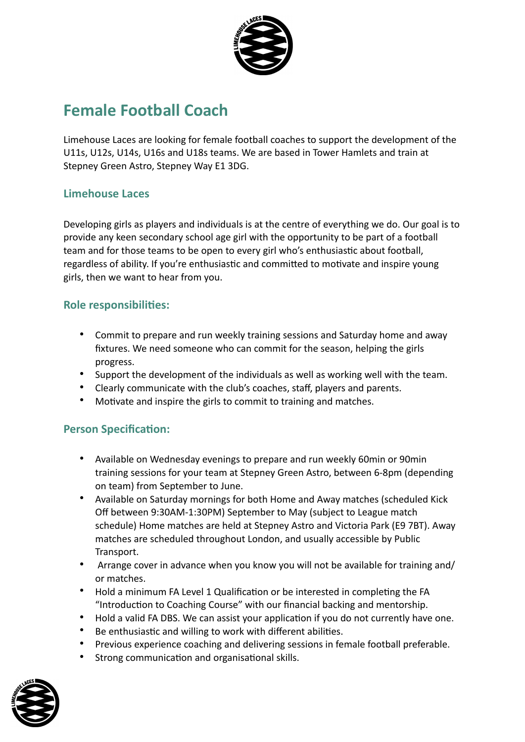

# **Female Football Coach**

Limehouse Laces are looking for female football coaches to support the development of the U11s, U12s, U14s, U16s and U18s teams. We are based in Tower Hamlets and train at Stepney Green Astro, Stepney Way E1 3DG.

## **Limehouse Laces**

Developing girls as players and individuals is at the centre of everything we do. Our goal is to provide any keen secondary school age girl with the opportunity to be part of a football team and for those teams to be open to every girl who's enthusiastic about football, regardless of ability. If you're enthusiastic and committed to motivate and inspire young girls, then we want to hear from you.

#### **Role responsibilities:**

- Commit to prepare and run weekly training sessions and Saturday home and away fixtures. We need someone who can commit for the season, helping the girls progress.
- Support the development of the individuals as well as working well with the team.
- Clearly communicate with the club's coaches, staff, players and parents.
- Motivate and inspire the girls to commit to training and matches.

### **Person Specification:**

- Available on Wednesday evenings to prepare and run weekly 60min or 90min training sessions for your team at Stepney Green Astro, between 6-8pm (depending on team) from September to June.
- Available on Saturday mornings for both Home and Away matches (scheduled Kick Off between 9:30AM-1:30PM) September to May (subject to League match schedule) Home matches are held at Stepney Astro and Victoria Park (E9 7BT). Away matches are scheduled throughout London, and usually accessible by Public Transport.
- Arrange cover in advance when you know you will not be available for training and/ or matches.
- Hold a minimum FA Level 1 Qualification or be interested in completing the FA "Introduction to Coaching Course" with our financial backing and mentorship.
- Hold a valid FA DBS. We can assist your application if you do not currently have one.
- Be enthusiastic and willing to work with different abilities.
- Previous experience coaching and delivering sessions in female football preferable.
- Strong communication and organisational skills.